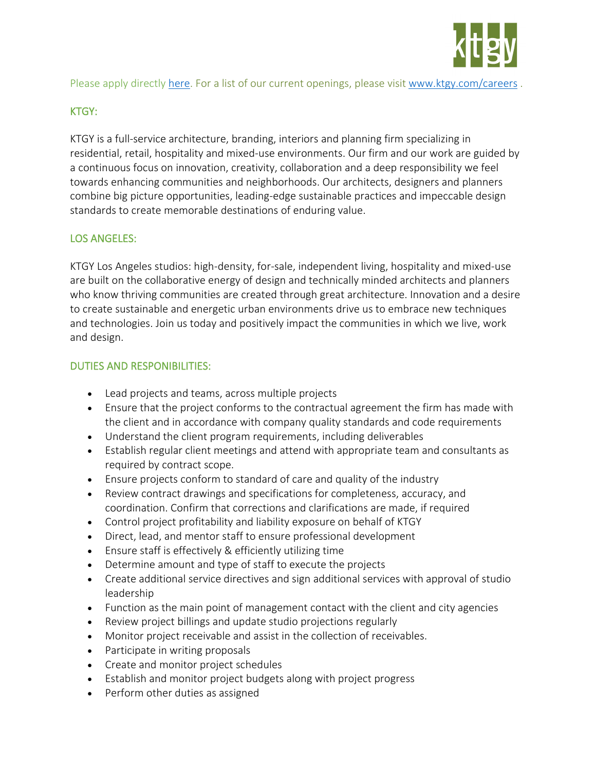

Please apply directly [here.](https://recruiting2.ultipro.com/KTG1000KTGY/JobBoard/29723d7f-29a8-4583-8afe-a680de88c899/Opportunity/OpportunityDetail?opportunityId=b9e4ccf9-c7fa-412f-91f6-eea50018c1a3&sourceId=5760b4e3-b3a8-4305-9365-40dc835cbc8f) For a list of our current openings, please visit [www.ktgy.com/careers](http://www.ktgy.com/careers) .

# KTGY:

KTGY is a full-service architecture, branding, interiors and planning firm specializing in residential, retail, hospitality and mixed-use environments. Our firm and our work are guided by a continuous focus on innovation, creativity, collaboration and a deep responsibility we feel towards enhancing communities and neighborhoods. Our architects, designers and planners combine big picture opportunities, leading-edge sustainable practices and impeccable design standards to create memorable destinations of enduring value.

# LOS ANGELES:

KTGY Los Angeles studios: high-density, for-sale, independent living, hospitality and mixed-use are built on the collaborative energy of design and technically minded architects and planners who know thriving communities are created through great architecture. Innovation and a desire to create sustainable and energetic urban environments drive us to embrace new techniques and technologies. Join us today and positively impact the communities in which we live, work and design.

### DUTIES AND RESPONIBILITIES:

- Lead projects and teams, across multiple projects
- Ensure that the project conforms to the contractual agreement the firm has made with the client and in accordance with company quality standards and code requirements
- Understand the client program requirements, including deliverables
- Establish regular client meetings and attend with appropriate team and consultants as required by contract scope.
- Ensure projects conform to standard of care and quality of the industry
- Review contract drawings and specifications for completeness, accuracy, and coordination. Confirm that corrections and clarifications are made, if required
- Control project profitability and liability exposure on behalf of KTGY
- Direct, lead, and mentor staff to ensure professional development
- Ensure staff is effectively & efficiently utilizing time
- Determine amount and type of staff to execute the projects
- Create additional service directives and sign additional services with approval of studio leadership
- Function as the main point of management contact with the client and city agencies
- Review project billings and update studio projections regularly
- Monitor project receivable and assist in the collection of receivables.
- Participate in writing proposals
- Create and monitor project schedules
- Establish and monitor project budgets along with project progress
- Perform other duties as assigned